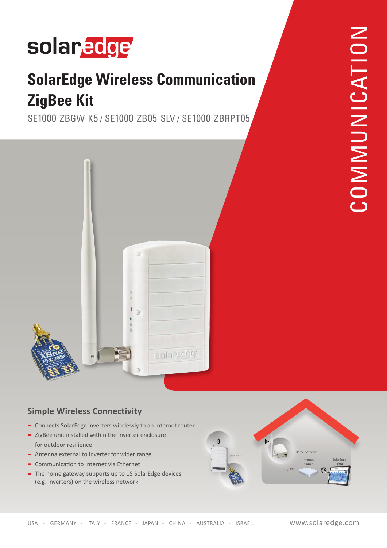# solaredge

### **SolarEdge Wireless Communication ZigBee Kit**

SE1000-ZBGW-K5 / SE1000-ZB05-SLV / SE1000-ZBRPT05



#### **Simple Wireless Connectivity**

- Foundation Connects SolarEdge inverters wirelessly to an Internet router
- $\overline{\phantom{a}}$  ZigBee unit installed within the inverter enclosure for outdoor resilience
- Antenna external to inverter for wider range
- $\blacktriangleright$  Communication to Internet via Ethernet
- $\overline{\phantom{a}}$  The home gateway supports up to 15 SolarEdge devices (e.g. inverters) on the wireless network